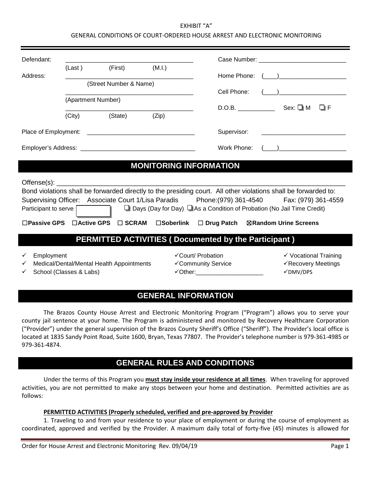#### EXHIBIT "A" GENERAL CONDITIONS OF COURT-ORDERED HOUSE ARREST AND ELECTRONIC MONITORING

| Defendant:                                                                                                      |                         |                                           |        |                                                          | Case Number: The Case of the Case of the Case of the Case of the Case of the Case of the Case of the Case of the Case of the Case of the Case of the Case of the Case of the Case of the Case of the Case of the Case of the C                           |  |  |
|-----------------------------------------------------------------------------------------------------------------|-------------------------|-------------------------------------------|--------|----------------------------------------------------------|----------------------------------------------------------------------------------------------------------------------------------------------------------------------------------------------------------------------------------------------------------|--|--|
|                                                                                                                 | (Last) (First)          |                                           | (M.I.) |                                                          |                                                                                                                                                                                                                                                          |  |  |
| Address:                                                                                                        |                         |                                           |        |                                                          |                                                                                                                                                                                                                                                          |  |  |
| (Street Number & Name)                                                                                          |                         |                                           |        | Cell Phone:                                              | $\left(\begin{array}{cc} 1 & 1 \end{array}\right)$ . The contract of the contract of the contract of the contract of the contract of the contract of the contract of the contract of the contract of the contract of the contract of the contract of the |  |  |
|                                                                                                                 | (Apartment Number)      |                                           |        |                                                          |                                                                                                                                                                                                                                                          |  |  |
|                                                                                                                 |                         |                                           |        |                                                          | $D.O.B.$ Sex: $\square M$ $\square F$                                                                                                                                                                                                                    |  |  |
|                                                                                                                 | (City)                  | (State)                                   | (Zip)  |                                                          |                                                                                                                                                                                                                                                          |  |  |
|                                                                                                                 |                         |                                           |        | Supervisor:                                              |                                                                                                                                                                                                                                                          |  |  |
|                                                                                                                 |                         |                                           |        | Work Phone:                                              | $($ $)$                                                                                                                                                                                                                                                  |  |  |
|                                                                                                                 |                         |                                           |        |                                                          |                                                                                                                                                                                                                                                          |  |  |
| <b>MONITORING INFORMATION</b>                                                                                   |                         |                                           |        |                                                          |                                                                                                                                                                                                                                                          |  |  |
|                                                                                                                 |                         |                                           |        |                                                          |                                                                                                                                                                                                                                                          |  |  |
| Bond violations shall be forwarded directly to the presiding court. All other violations shall be forwarded to: |                         |                                           |        |                                                          |                                                                                                                                                                                                                                                          |  |  |
| Supervising Officer: Associate Court 1/Lisa Paradis Phone: (979) 361-4540 Fax: (979) 361-4559                   |                         |                                           |        |                                                          |                                                                                                                                                                                                                                                          |  |  |
| $\Box$ Days (Day for Day) $\Box$ As a Condition of Probation (No Jail Time Credit)<br>Participant to serve      |                         |                                           |        |                                                          |                                                                                                                                                                                                                                                          |  |  |
|                                                                                                                 |                         |                                           |        | □Passive GPS □Active GPS □ SCRAM □Soberlink □ Drug Patch | <b>⊠Random Urine Screens</b>                                                                                                                                                                                                                             |  |  |
| <b>PERMITTED ACTIVITIES (Documented by the Participant)</b>                                                     |                         |                                           |        |                                                          |                                                                                                                                                                                                                                                          |  |  |
| Employment<br>✓<br>✓<br>✓                                                                                       | School (Classes & Labs) | Medical/Dental/Mental Health Appointments |        | √Court/ Probation<br>√Community Service                  | ✓ Vocational Training<br>√Recovery Meetings<br>$\checkmark$ DMV/DPS                                                                                                                                                                                      |  |  |

### **GENERAL INFORMATION**

The Brazos County House Arrest and Electronic Monitoring Program ("Program") allows you to serve your county jail sentence at your home. The Program is administered and monitored by Recovery Healthcare Corporation ("Provider") under the general supervision of the Brazos County Sheriff's Office ("Sheriff"). The Provider's local office is located at 1835 Sandy Point Road, Suite 1600, Bryan, Texas 77807. The Provider's telephone number is 979-361-4985 or 979-361-4874.

# **GENERAL RULES AND CONDITIONS**

Under the terms of this Program you **must stay inside your residence at all times**. When traveling for approved activities, you are not permitted to make any stops between your home and destination. Permitted activities are as follows:

#### **PERMITTED ACTIVITIES (Properly scheduled, verified and pre-approved by Provider**

1. Traveling to and from your residence to your place of employment or during the course of employment as coordinated, approved and verified by the Provider. A maximum daily total of forty-five (45) minutes is allowed for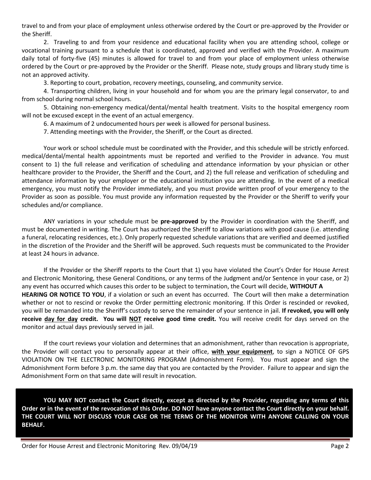travel to and from your place of employment unless otherwise ordered by the Court or pre-approved by the Provider or the Sheriff.

2. Traveling to and from your residence and educational facility when you are attending school, college or vocational training pursuant to a schedule that is coordinated, approved and verified with the Provider. A maximum daily total of forty-five (45) minutes is allowed for travel to and from your place of employment unless otherwise ordered by the Court or pre-approved by the Provider or the Sheriff. Please note, study groups and library study time is not an approved activity.

3. Reporting to court, probation, recovery meetings, counseling, and community service.

4. Transporting children, living in your household and for whom you are the primary legal conservator, to and from school during normal school hours.

5. Obtaining non-emergency medical/dental/mental health treatment. Visits to the hospital emergency room will not be excused except in the event of an actual emergency.

6. A maximum of 2 undocumented hours per week is allowed for personal business.

7. Attending meetings with the Provider, the Sheriff, or the Court as directed.

Your work or school schedule must be coordinated with the Provider, and this schedule will be strictly enforced. medical/dental/mental health appointments must be reported and verified to the Provider in advance. You must consent to 1) the full release and verification of scheduling and attendance information by your physician or other healthcare provider to the Provider, the Sheriff and the Court, and 2) the full release and verification of scheduling and attendance information by your employer or the educational institution you are attending. In the event of a medical emergency, you must notify the Provider immediately, and you must provide written proof of your emergency to the Provider as soon as possible. You must provide any information requested by the Provider or the Sheriff to verify your schedules and/or compliance.

ANY variations in your schedule must be **pre-approved** by the Provider in coordination with the Sheriff, and must be documented in writing. The Court has authorized the Sheriff to allow variations with good cause (i.e. attending a funeral, relocating residences, etc.). Only properly requested schedule variations that are verified and deemed justified in the discretion of the Provider and the Sheriff will be approved. Such requests must be communicated to the Provider at least 24 hours in advance.

If the Provider or the Sheriff reports to the Court that 1) you have violated the Court's Order for House Arrest and Electronic Monitoring, these General Conditions, or any terms of the Judgment and/or Sentence in your case, or 2) any event has occurred which causes this order to be subject to termination, the Court will decide, **WITHOUT A HEARING OR NOTICE TO YOU**, if a violation or such an event has occurred. The Court will then make a determination whether or not to rescind or revoke the Order permitting electronic monitoring. If this Order is rescinded or revoked, you will be remanded into the Sheriff's custody to serve the remainder of your sentence in jail. **If revoked, you will only receive day for day credit. You will NOT receive good time credit.** You will receive credit for days served on the monitor and actual days previously served in jail.

If the court reviews your violation and determines that an admonishment, rather than revocation is appropriate, the Provider will contact you to personally appear at their office, **with your equipment**, to sign a NOTICE OF GPS VIOLATION ON THE ELECTRONIC MONITORING PROGRAM (Admonishment Form). You must appear and sign the Admonishment Form before 3 p.m. the same day that you are contacted by the Provider. Failure to appear and sign the Admonishment Form on that same date will result in revocation.

**YOU MAY NOT contact the Court directly, except as directed by the Provider, regarding any terms of this Order or in the event of the revocation of this Order. DO NOT have anyone contact the Court directly on your behalf. THE COURT WILL NOT DISCUSS YOUR CASE OR THE TERMS OF THE MONITOR WITH ANYONE CALLING ON YOUR BEHALF.**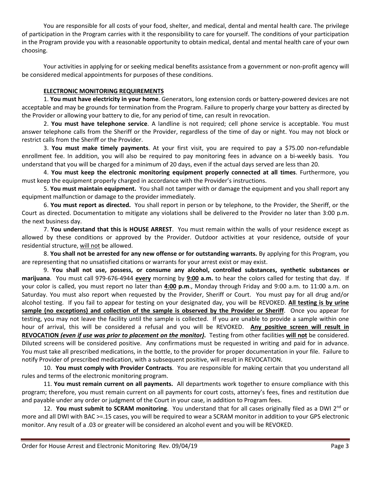You are responsible for all costs of your food, shelter, and medical, dental and mental health care. The privilege of participation in the Program carries with it the responsibility to care for yourself. The conditions of your participation in the Program provide you with a reasonable opportunity to obtain medical, dental and mental health care of your own choosing.

Your activities in applying for or seeking medical benefits assistance from a government or non-profit agency will be considered medical appointments for purposes of these conditions.

### **ELECTRONIC MONITORING REQUIREMENTS**

1. **You must have electricity in your home**. Generators, long extension cords or battery-powered devices are not acceptable and may be grounds for termination from the Program. Failure to properly charge your battery as directed by the Provider or allowing your battery to die, for any period of time, can result in revocation.

2. **You must have telephone service**. A landline is not required; cell phone service is acceptable. You must answer telephone calls from the Sheriff or the Provider, regardless of the time of day or night. You may not block or restrict calls from the Sheriff or the Provider.

3. **You must make timely payments**. At your first visit, you are required to pay a \$75.00 non-refundable enrollment fee. In addition, you will also be required to pay monitoring fees in advance on a bi-weekly basis. You understand that you will be charged for a minimum of 20 days, even if the actual days served are less than 20.

4. **You must keep the electronic monitoring equipment properly connected at all times**. Furthermore, you must keep the equipment properly charged in accordance with the Provider's instructions.

5. **You must maintain equipment.** You shall not tamper with or damage the equipment and you shall report any equipment malfunction or damage to the provider immediately.

6. **You must report as directed.** You shall report in person or by telephone, to the Provider, the Sheriff, or the Court as directed. Documentation to mitigate any violations shall be delivered to the Provider no later than 3:00 p.m. the next business day.

7. **You understand that this is HOUSE ARREST**. You must remain within the walls of your residence except as allowed by these conditions or approved by the Provider. Outdoor activities at your residence, outside of your residential structure, will not be allowed.

8. **You shall not be arrested for any new offense or for outstanding warrants.** By applying for this Program, you are representing that no unsatisfied citations or warrants for your arrest exist or may exist.

9. **You shall not use, possess, or consume any alcohol, controlled substances, synthetic substances or marijuana**. You must call 979-676-4944 **every** morning by **9:00 a.m.** to hear the colors called for testing that day. If your color is called, you must report no later than **4:00 p.m**., Monday through Friday and 9:00 a.m. to 11:00 a.m. on Saturday. You must also report when requested by the Provider, Sheriff or Court. You must pay for all drug and/or alcohol testing. If you fail to appear for testing on your designated day, you will be REVOKED. **All testing is by urine sample (no exceptions) and collection of the sample is observed by the Provider or Sheriff**. Once you appear for testing, you may not leave the facility until the sample is collected. If you are unable to provide a sample within one hour of arrival, this will be considered a refusal and you will be REVOKED. **Any positive screen will result in REVOCATION** *(even if use was prior to placement on the monitor)***.** Testing from other facilities **will not** be considered. Diluted screens will be considered positive. Any confirmations must be requested in writing and paid for in advance. You must take all prescribed medications, in the bottle, to the provider for proper documentation in your file. Failure to notify Provider of prescribed medication, with a subsequent positive, will result in REVOCATION.

10. **You must comply with Provider Contracts**. You are responsible for making certain that you understand all rules and terms of the electronic monitoring program.

11. **You must remain current on all payments.** All departments work together to ensure compliance with this program; therefore, you must remain current on all payments for court costs, attorney's fees, fines and restitution due and payable under any order or judgment of the Court in your case, in addition to Program fees.

12. **You must submit to SCRAM monitoring**. You understand that for all cases originally filed as a DWI 2<sup>nd</sup> or more and all DWI with BAC >=.15 cases, you will be required to wear a SCRAM monitor in addition to your GPS electronic monitor. Any result of a .03 or greater will be considered an alcohol event and you will be REVOKED.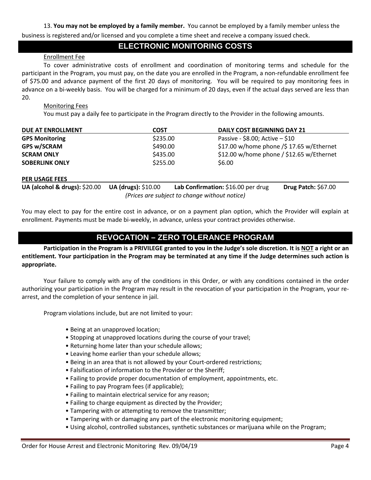13. **You may not be employed by a family member.** You cannot be employed by a family member unless the business is registered and/or licensed and you complete a time sheet and receive a company issued check.

### **ELECTRONIC MONITORING COSTS**

### Enrollment Fee

To cover administrative costs of enrollment and coordination of monitoring terms and schedule for the participant in the Program, you must pay, on the date you are enrolled in the Program, a non-refundable enrollment fee of \$75.00 and advance payment of the first 20 days of monitoring. You will be required to pay monitoring fees in advance on a bi-weekly basis. You will be charged for a minimum of 20 days, even if the actual days served are less than 20.

### Monitoring Fees

You must pay a daily fee to participate in the Program directly to the Provider in the following amounts.

| <b>DUE AT ENROLLMENT</b> | <b>COST</b> | <b>DAILY COST BEGINNING DAY 21</b>         |
|--------------------------|-------------|--------------------------------------------|
| <b>GPS Monitoring</b>    | \$235.00    | Passive - \$8.00; Active $-$ \$10          |
| <b>GPS w/SCRAM</b>       | \$490.00    | \$17.00 w/home phone /\$17.65 w/Ethernet   |
| <b>SCRAM ONLY</b>        | \$435.00    | $$12.00$ w/home phone / \$12.65 w/Ethernet |
| <b>SOBERLINK ONLY</b>    | \$255.00    | \$6.00                                     |
|                          |             |                                            |

#### **PER USAGE FEES**

**UA (alcohol & drugs): \$20.00 UA (drugs): \$10.00 Lab Confirmation: \$16.00 per drug Drug Patch: \$67.00** *(Prices are subject to change without notice)*

You may elect to pay for the entire cost in advance, or on a payment plan option, which the Provider will explain at enrollment. Payments must be made bi-weekly, in advance, unless your contract provides otherwise.

## **REVOCATION – ZERO TOLERANCE PROGRAM**

**Participation in the Program is a PRIVILEGE granted to you in the Judge's sole discretion. It is NOT a right or an entitlement. Your participation in the Program may be terminated at any time if the Judge determines such action is appropriate.**

Your failure to comply with any of the conditions in this Order, or with any conditions contained in the order authorizing your participation in the Program may result in the revocation of your participation in the Program, your rearrest, and the completion of your sentence in jail.

Program violations include, but are not limited to your:

- Being at an unapproved location;
- Stopping at unapproved locations during the course of your travel;
- Returning home later than your schedule allows;
- Leaving home earlier than your schedule allows;
- Being in an area that is not allowed by your Court-ordered restrictions;
- Falsification of information to the Provider or the Sheriff;
- Failing to provide proper documentation of employment, appointments, etc.
- Failing to pay Program fees (if applicable);
- Failing to maintain electrical service for any reason;
- Failing to charge equipment as directed by the Provider;
- Tampering with or attempting to remove the transmitter;
- Tampering with or damaging any part of the electronic monitoring equipment;
- Using alcohol, controlled substances, synthetic substances or marijuana while on the Program;